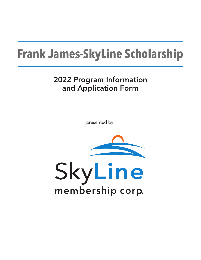# **Frank James-SkyLine Scholarship**

# 2022 Program Information and Application Form

presented by:

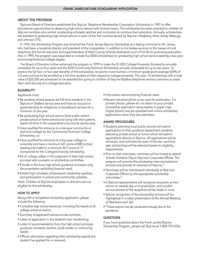#### ABOUT THE PROGRAM

 SkyLine's Board of Directors established the SkyLine Telephone Membership Corporation Scholarship in 1987 to offer educational opportunities to deserving high school seniors with limited means. The scholarship has been awarded to children of SkyLine members who exhibit outstanding scholastic abilities and motivation to continue their education. Annually, scholarships are awarded to graduating high school seniors in each of the five counties served by SkyLine: Alleghany, Ashe, Avery, Watauga and Johnson (TN).

 In 1995, the Scholarship Program was renamed the Frank James–SkyLine Scholarship as a lasting memorial to Mr. James, who had been a longtime director and president of the cooperative. In addition to his tireless services to the causes of rural telephony, the former educator and superintendent of Ashe County Schools dedicated much of his life to promoting education. Also in 1995, the program was expanded to include five \$500 scholarships for graduating high school seniors seeking a two-year community/technical college degree.

 The Board of Directors further enhanced the program in 1999 to make the \$1,000 College/University Scholarship annually renewable for up to four years and the \$500 Community/Technical Scholarship annually renewable for up to two years. To receive the full two- or four-year benefits of this scholarship, recipients must maintain a minimum grade-point-average (GPA) of 2.0 and continue to be enrolled as a full-time student at their respective college/university. This year, 10 scholarships with a total value of \$25,000 are scheduled to be awarded this spring to children of SkyLine/SkyBest telephone service customers to assist them with the cost of a college education.

## **ELIGIBILITY**

Applicants must:

- Be students whose parents are full-time residents in the SkyLine or SkyBest service area and have an account in good standing for telephone or broadband services for a minimum of one year.
- Be graduating high school seniors (local public school, private school or home school) and along with their parents, reside full-time in the cooperative's five county service area.
- Have qualified for entrance to a two-year community or technical college for the Community/Technical College Scholarship, or;
- Have qualified for entrance to a four-year college or university and have a minimum SAT score of 880 (critical reading and math) or a minimum ACT score of 17 (composite) for the College/University Scholarship.
- Be of college caliber in the judgment of their high school principal and counselor or scholarship committee.
- Provide to the local high school guidance counselor only, documentation exhibiting financial need.
- Exhibit high scholastic achievement, leadership qualities, and participation in school and community activities.

Note: Children of SkyLine employees or directors are not eligible for this scholarship.

## HOW TO APPLY

Along with a completed scholarship application, please include the following:

- Complete high school transcript, including the results of all college entrance exams.
- Summary of applicant's extracurricular activities.
- Letter of application in the student's own handwriting.
- Letter of recommendation from the high school principal, guidance counselor, teacher, youth leader or community leader.
- Official information regarding other scholarship awards the student has applied for or received.
- Information demonstrating financial need.
- Recent individual photo to be used for publication. For printed photos, please do not attach to your printed scholarship application using staples or paper clips. Digital photos may be uploaded with online scholarship applications when they are submitted.

#### AWARD PROCEDURES

- Students attending local public schools will submit applications to their guidance department; students attending private school or home school will submit applications directly to SkyLine. All applications will be reviewed, and nominees for each of the two- and fouryear scholarships will be selected based on eligibility requirements.
- Prior to their interviews, nominees will be invited to attend Scholar Visitation Day at SkyLine's Corporate Offices. The program will preview the scholarship interview/selection process and provide an overview of SkyLine.\*
- Nominees will be interviewed individually at SkyLine's Corporate Offices by the appropriate scholarship committee.\*
- A SkyLine representative will recognize recipients at their school on awards day or at graduation, and a public announcement of the recipients will be made in June.
- Special recognition of the scholarship winners will be highlighted in a video presentation at the Annual Meeting of Members each fall.
- \*These events may be conducted virtually due to the pandemic.

#### **QUESTIONS**

If you have questions about the Frank James-SkyLine Scholarship Program, please call SkyLine at 1-800-759-2226.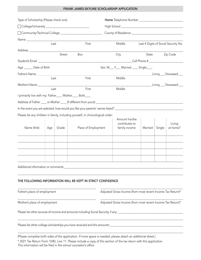#### FRANK JAMES-SKYLINE SCHOLARSHIP APPLICATION

| Type of Scholarship (Please check one)                                                                                                                                                                                         |      |        |                                                                                                                                                                                                |                                                             |                 |          |                                      |  |
|--------------------------------------------------------------------------------------------------------------------------------------------------------------------------------------------------------------------------------|------|--------|------------------------------------------------------------------------------------------------------------------------------------------------------------------------------------------------|-------------------------------------------------------------|-----------------|----------|--------------------------------------|--|
|                                                                                                                                                                                                                                |      |        |                                                                                                                                                                                                |                                                             |                 |          |                                      |  |
|                                                                                                                                                                                                                                |      |        |                                                                                                                                                                                                |                                                             |                 |          |                                      |  |
|                                                                                                                                                                                                                                |      |        |                                                                                                                                                                                                |                                                             |                 |          |                                      |  |
|                                                                                                                                                                                                                                | Last |        | First                                                                                                                                                                                          | Middle                                                      |                 |          | Last 4 Digits of Social Security No. |  |
|                                                                                                                                                                                                                                |      |        |                                                                                                                                                                                                |                                                             |                 |          |                                      |  |
|                                                                                                                                                                                                                                |      | Street | Box                                                                                                                                                                                            | City                                                        | State           | Zip Code |                                      |  |
|                                                                                                                                                                                                                                |      |        |                                                                                                                                                                                                |                                                             |                 |          |                                      |  |
|                                                                                                                                                                                                                                |      |        |                                                                                                                                                                                                |                                                             |                 |          |                                      |  |
| Father's Name and the state of the state of the state of the state of the state of the state of the state of the state of the state of the state of the state of the state of the state of the state of the state of the state |      |        |                                                                                                                                                                                                | Middle                                                      |                 |          | Living __ Deceased __                |  |
|                                                                                                                                                                                                                                | Last |        | First                                                                                                                                                                                          |                                                             |                 |          |                                      |  |
|                                                                                                                                                                                                                                | Last |        | First                                                                                                                                                                                          | Middle                                                      | Living Deceased |          |                                      |  |
| I primarily live with my: Father____ Mother____ Both____                                                                                                                                                                       |      |        |                                                                                                                                                                                                |                                                             |                 |          |                                      |  |
|                                                                                                                                                                                                                                |      |        |                                                                                                                                                                                                |                                                             |                 |          |                                      |  |
|                                                                                                                                                                                                                                |      |        | In the event you are selected, how would you like your parents' names listed?<br>Series 2022 Connective Connective Connection Connection Connection Connection Connection Connection Connectio |                                                             |                 |          |                                      |  |
|                                                                                                                                                                                                                                |      |        |                                                                                                                                                                                                |                                                             |                 |          |                                      |  |
|                                                                                                                                                                                                                                |      |        | Please list any children in family, including yourself, in chronological order:                                                                                                                | Amount he/she<br>contributes to                             |                 |          | Living                               |  |
| Name (first)                                                                                                                                                                                                                   | Age  | Grade  | Place of Employment                                                                                                                                                                            | family income                                               | Married         | Single   | at home?                             |  |
|                                                                                                                                                                                                                                |      |        |                                                                                                                                                                                                |                                                             |                 |          |                                      |  |
|                                                                                                                                                                                                                                |      |        |                                                                                                                                                                                                |                                                             |                 |          |                                      |  |
|                                                                                                                                                                                                                                |      |        |                                                                                                                                                                                                |                                                             |                 |          |                                      |  |
|                                                                                                                                                                                                                                |      |        |                                                                                                                                                                                                |                                                             |                 |          |                                      |  |
|                                                                                                                                                                                                                                |      |        |                                                                                                                                                                                                |                                                             |                 |          |                                      |  |
| Additional information or comments:                                                                                                                                                                                            |      |        | <u> 2000 - Jan Barnett, fransk politik (d. 1982)</u>                                                                                                                                           |                                                             |                 |          |                                      |  |
|                                                                                                                                                                                                                                |      |        | THE FOLLOWING INFORMATION WILL BE KEPT IN STRICT CONFIDENCE                                                                                                                                    |                                                             |                 |          |                                      |  |
|                                                                                                                                                                                                                                |      |        |                                                                                                                                                                                                |                                                             |                 |          |                                      |  |
| Father's place of employment                                                                                                                                                                                                   |      |        |                                                                                                                                                                                                | Adjusted Gross Income (from most recent Income Tax Return)* |                 |          |                                      |  |
| Mother's place of employment                                                                                                                                                                                                   |      |        |                                                                                                                                                                                                | Adjusted Gross Income (from most recent Income Tax Return)* |                 |          |                                      |  |
|                                                                                                                                                                                                                                |      |        |                                                                                                                                                                                                |                                                             |                 |          |                                      |  |
|                                                                                                                                                                                                                                |      |        |                                                                                                                                                                                                |                                                             |                 |          |                                      |  |
|                                                                                                                                                                                                                                |      |        |                                                                                                                                                                                                |                                                             |                 |          |                                      |  |

(Please complete both sides of the application. If more space is needed, please attach an additional sheet.)

\* 2021 Tax Return Form 1040, Line 11. Please include a copy of this section of the tax return with this application. This information will be filed in the school counselor's office.

 $\bot$  , and the state of the state of the state of the state of the state of the state of the state of the state of the state of the state of the state of the state of the state of the state of the state of the state of th